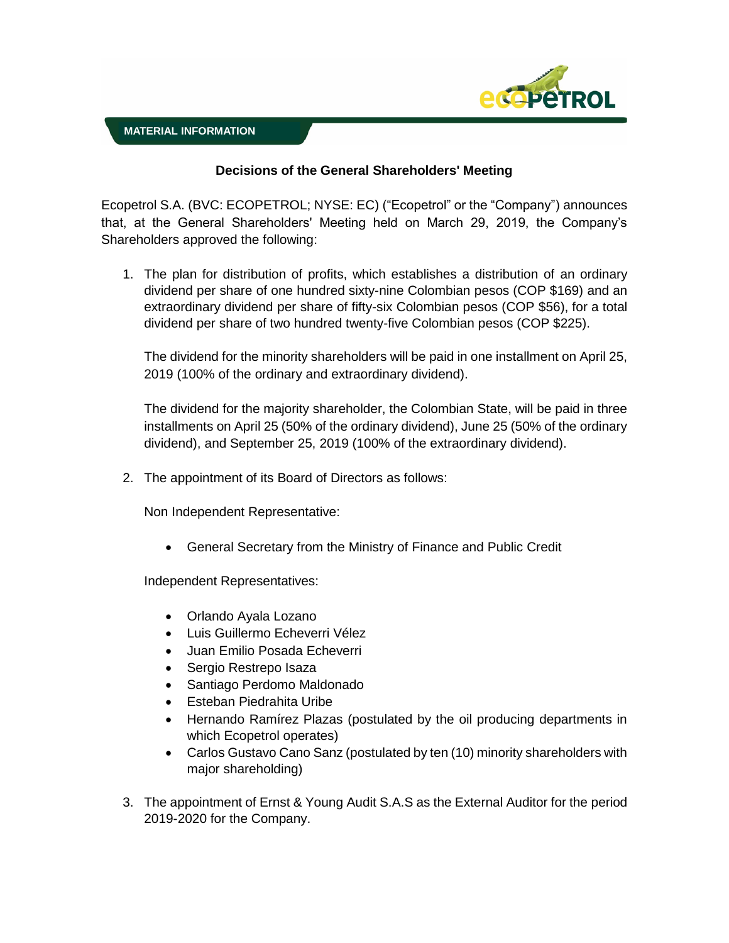

## **Decisions of the General Shareholders' Meeting**

Ecopetrol S.A. (BVC: ECOPETROL; NYSE: EC) ("Ecopetrol" or the "Company") announces that, at the General Shareholders' Meeting held on March 29, 2019, the Company's Shareholders approved the following:

1. The plan for distribution of profits, which establishes a distribution of an ordinary dividend per share of one hundred sixty-nine Colombian pesos (COP \$169) and an extraordinary dividend per share of fifty-six Colombian pesos (COP \$56), for a total dividend per share of two hundred twenty-five Colombian pesos (COP \$225).

The dividend for the minority shareholders will be paid in one installment on April 25, 2019 (100% of the ordinary and extraordinary dividend).

The dividend for the majority shareholder, the Colombian State, will be paid in three installments on April 25 (50% of the ordinary dividend), June 25 (50% of the ordinary dividend), and September 25, 2019 (100% of the extraordinary dividend).

2. The appointment of its Board of Directors as follows:

Non Independent Representative:

General Secretary from the Ministry of Finance and Public Credit

Independent Representatives:

- Orlando Ayala Lozano
- Luis Guillermo Echeverri Vélez
- Juan Emilio Posada Echeverri
- Sergio Restrepo Isaza
- Santiago Perdomo Maldonado
- Esteban Piedrahita Uribe
- Hernando Ramírez Plazas (postulated by the oil producing departments in which Ecopetrol operates)
- Carlos Gustavo Cano Sanz (postulated by ten (10) minority shareholders with major shareholding)
- 3. The appointment of Ernst & Young Audit S.A.S as the External Auditor for the period 2019-2020 for the Company.